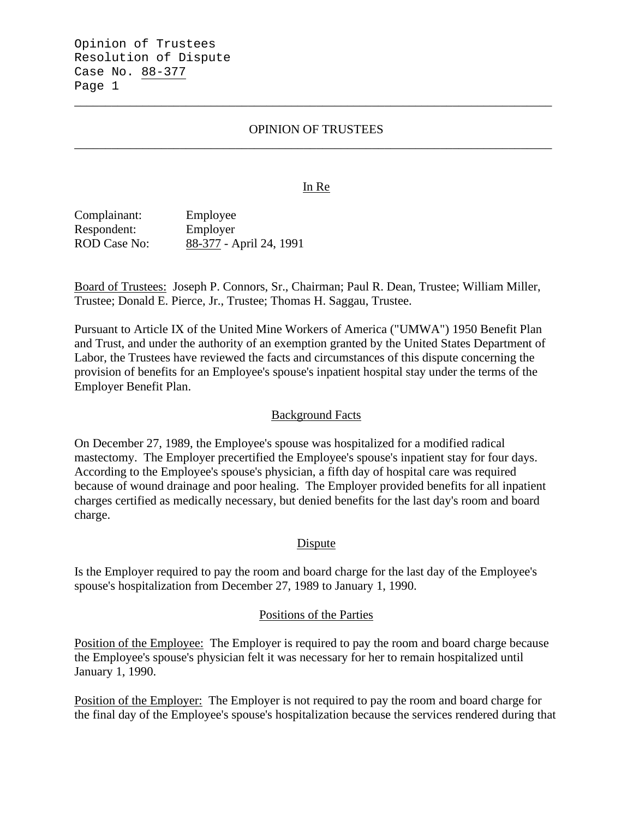Opinion of Trustees Resolution of Dispute Case No. 88-377 Page 1

# OPINION OF TRUSTEES \_\_\_\_\_\_\_\_\_\_\_\_\_\_\_\_\_\_\_\_\_\_\_\_\_\_\_\_\_\_\_\_\_\_\_\_\_\_\_\_\_\_\_\_\_\_\_\_\_\_\_\_\_\_\_\_\_\_\_\_\_\_\_\_\_\_\_\_\_\_\_\_\_\_\_\_\_

\_\_\_\_\_\_\_\_\_\_\_\_\_\_\_\_\_\_\_\_\_\_\_\_\_\_\_\_\_\_\_\_\_\_\_\_\_\_\_\_\_\_\_\_\_\_\_\_\_\_\_\_\_\_\_\_\_\_\_\_\_\_\_\_\_\_\_\_\_\_\_\_\_\_\_\_\_

### In Re

Complainant: Employee Respondent: Employer ROD Case No: 88-377 - April 24, 1991

Board of Trustees: Joseph P. Connors, Sr., Chairman; Paul R. Dean, Trustee; William Miller, Trustee; Donald E. Pierce, Jr., Trustee; Thomas H. Saggau, Trustee.

Pursuant to Article IX of the United Mine Workers of America ("UMWA") 1950 Benefit Plan and Trust, and under the authority of an exemption granted by the United States Department of Labor, the Trustees have reviewed the facts and circumstances of this dispute concerning the provision of benefits for an Employee's spouse's inpatient hospital stay under the terms of the Employer Benefit Plan.

## Background Facts

On December 27, 1989, the Employee's spouse was hospitalized for a modified radical mastectomy. The Employer precertified the Employee's spouse's inpatient stay for four days. According to the Employee's spouse's physician, a fifth day of hospital care was required because of wound drainage and poor healing. The Employer provided benefits for all inpatient charges certified as medically necessary, but denied benefits for the last day's room and board charge.

#### **Dispute**

Is the Employer required to pay the room and board charge for the last day of the Employee's spouse's hospitalization from December 27, 1989 to January 1, 1990.

#### Positions of the Parties

Position of the Employee: The Employer is required to pay the room and board charge because the Employee's spouse's physician felt it was necessary for her to remain hospitalized until January 1, 1990.

Position of the Employer: The Employer is not required to pay the room and board charge for the final day of the Employee's spouse's hospitalization because the services rendered during that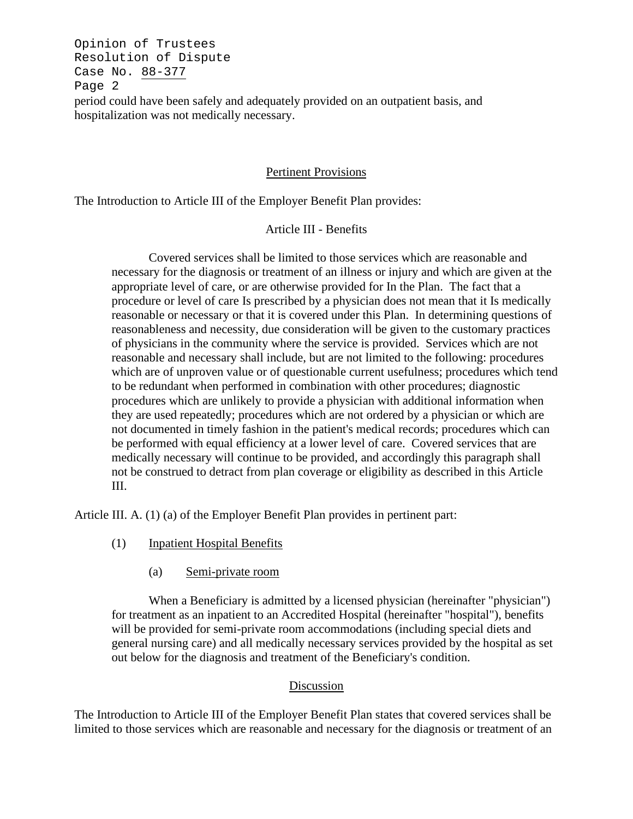Opinion of Trustees Resolution of Dispute Case No. 88-377 Page 2 period could have been safely and adequately provided on an outpatient basis, and hospitalization was not medically necessary.

## Pertinent Provisions

The Introduction to Article III of the Employer Benefit Plan provides:

## Article III - Benefits

Covered services shall be limited to those services which are reasonable and necessary for the diagnosis or treatment of an illness or injury and which are given at the appropriate level of care, or are otherwise provided for In the Plan. The fact that a procedure or level of care Is prescribed by a physician does not mean that it Is medically reasonable or necessary or that it is covered under this Plan. In determining questions of reasonableness and necessity, due consideration will be given to the customary practices of physicians in the community where the service is provided. Services which are not reasonable and necessary shall include, but are not limited to the following: procedures which are of unproven value or of questionable current usefulness; procedures which tend to be redundant when performed in combination with other procedures; diagnostic procedures which are unlikely to provide a physician with additional information when they are used repeatedly; procedures which are not ordered by a physician or which are not documented in timely fashion in the patient's medical records; procedures which can be performed with equal efficiency at a lower level of care. Covered services that are medically necessary will continue to be provided, and accordingly this paragraph shall not be construed to detract from plan coverage or eligibility as described in this Article III.

Article III. A. (1) (a) of the Employer Benefit Plan provides in pertinent part:

- (1) Inpatient Hospital Benefits
	- (a) Semi-private room

When a Beneficiary is admitted by a licensed physician (hereinafter "physician") for treatment as an inpatient to an Accredited Hospital (hereinafter "hospital"), benefits will be provided for semi-private room accommodations (including special diets and general nursing care) and all medically necessary services provided by the hospital as set out below for the diagnosis and treatment of the Beneficiary's condition.

#### Discussion

The Introduction to Article III of the Employer Benefit Plan states that covered services shall be limited to those services which are reasonable and necessary for the diagnosis or treatment of an